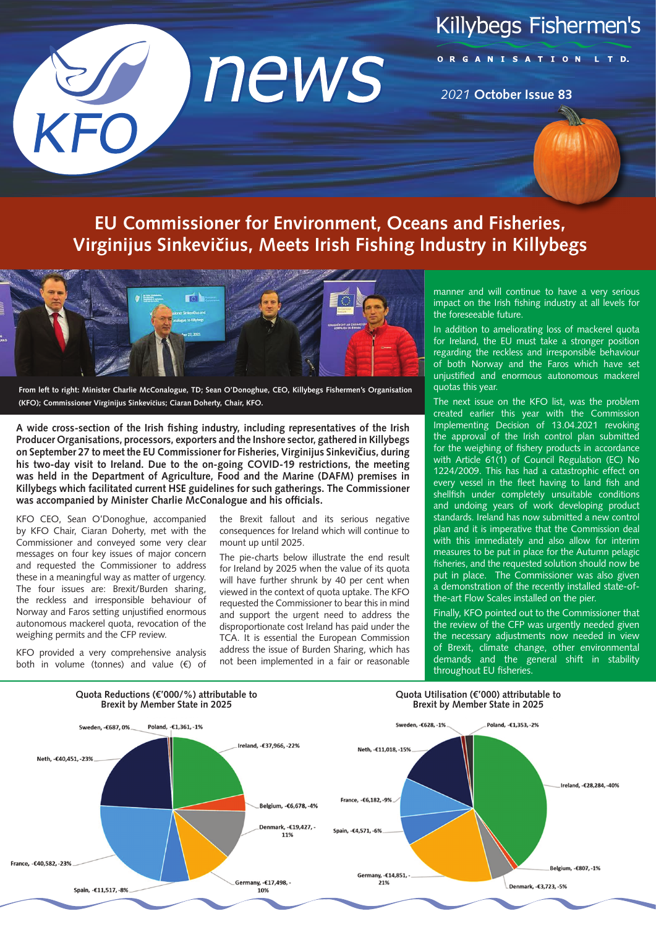# **Killybegs Fishermen's**

news KFO

#### ORGANISATION

*2021* **October Issue 83**

# **EU Commissioner for Environment, Oceans and Fisheries, Virginijus Sinkevičius, Meets Irish Fishing Industry in Killybegs**



**From left to right: Minister Charlie McConalogue, TD; Sean O'Donoghue, CEO, Killybegs Fishermen's Organisation (KFO); Commissioner Virginijus Sinkevičius; Ciaran Doherty, Chair, KFO.**

**A wide cross-section of the Irish fishing industry, including representatives of the Irish Producer Organisations, processors, exporters and the Inshore sector, gathered in Killybegs on September 27 to meet the EU Commissioner for Fisheries, Virginijus Sinkevičius, during his two-day visit to Ireland. Due to the on-going COVID-19 restrictions, the meeting was held in the Department of Agriculture, Food and the Marine (DAFM) premises in Killybegs which facilitated current HSE guidelines for such gatherings. The Commissioner was accompanied by Minister Charlie McConalogue and his officials.**

KFO CEO, Sean O'Donoghue, accompanied by KFO Chair, Ciaran Doherty, met with the Commissioner and conveyed some very clear messages on four key issues of major concern and requested the Commissioner to address these in a meaningful way as matter of urgency. The four issues are: Brexit/Burden sharing, the reckless and irresponsible behaviour of Norway and Faros setting unjustified enormous autonomous mackerel quota, revocation of the weighing permits and the CFP review.

the Brexit fallout and its serious negative consequences for Ireland which will continue to mount up until 2025.

The pie-charts below illustrate the end result for Ireland by 2025 when the value of its quota will have further shrunk by 40 per cent when viewed in the context of quota uptake. The KFO requested the Commissioner to bear this in mind and support the urgent need to address the disproportionate cost Ireland has paid under the TCA. It is essential the European Commission address the issue of Burden Sharing, which has not been implemented in a fair or reasonable manner and will continue to have a very serious impact on the Irish fishing industry at all levels for the foreseeable future.

In addition to ameliorating loss of mackerel quota for Ireland, the EU must take a stronger position regarding the reckless and irresponsible behaviour of both Norway and the Faros which have set unjustified and enormous autonomous mackerel quotas this year.

The next issue on the KFO list, was the problem created earlier this year with the Commission Implementing Decision of 13.04.2021 revoking the approval of the Irish control plan submitted for the weighing of fishery products in accordance with Article 61(1) of Council Regulation (EC) No 1224/2009. This has had a catastrophic effect on every vessel in the fleet having to land fish and shellfish under completely unsuitable conditions and undoing years of work developing product standards. Ireland has now submitted a new control plan and it is imperative that the Commission deal with this immediately and also allow for interim measures to be put in place for the Autumn pelagic fisheries, and the requested solution should now be put in place. The Commissioner was also given a demonstration of the recently installed state-ofthe-art Flow Scales installed on the pier.

Finally, KFO pointed out to the Commissioner that the review of the CFP was urgently needed given the necessary adjustments now needed in view of Brexit, climate change, other environmental demands and the general shift in stability throughout EU fisheries.



KFO provided a very comprehensive analysis both in volume (tonnes) and value (€) of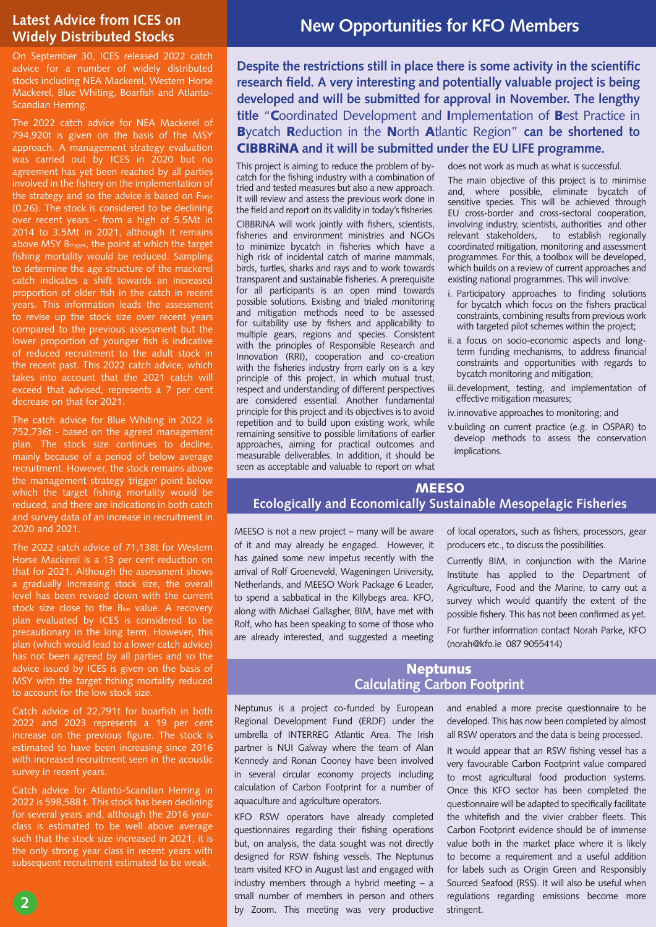#### **Latest Advice from ICES on Widely Distributed Stocks**

On September 30, ICES released 2022 catch advice for a number of widely distributed stocks including NEA Mackerel, Western Horse Mackerel, Blue Whiting, Boarfish and Atlanto-Scandian Herring.

The 2022 catch advice for NEA Mackerel of 794,920t is given on the basis of the MSY approach. A management strategy evaluation was carried out by ICES in 2020 but no agreement has yet been reached by all parties involved in the fishery on the implementation of the strategy and so the advice is based on FMSY (0.26). The stock is considered to be declining over recent years - from a high of 5.5Mt in 2014 to 3.5Mt in 2021, although it remains above MSY Btrigger, the point at which the target fishing mortality would be reduced. Sampling to determine the age structure of the mackerel catch indicates a shift towards an increased proportion of older fish in the catch in recent years. This information leads the assessment to revise up the stock size over recent years compared to the previous assessment but the lower proportion of younger fish is indicative of reduced recruitment to the adult stock in the recent past. This 2022 catch advice, which takes into account that the 2021 catch will exceed that advised, represents a 7 per cent decrease on that for 2021.

The catch advice for Blue Whiting in 2022 is 752,736t - based on the agreed management plan. The stock size continues to decline, mainly because of a period of below average recruitment. However, the stock remains above the management strategy trigger point below which the target fishing mortality would be reduced, and there are indications in both catch and survey data of an increase in recruitment in 2020 and 2021.

The 2022 catch advice of 71,138t for Western Horse Mackerel is a 13 per cent reduction on that for 2021. Although the assessment shows a gradually increasing stock size, the overall level has been revised down with the current stock size close to the Blim value. A recovery plan evaluated by ICES is considered to be precautionary in the long term. However, this plan (which would lead to a lower catch advice) has not been agreed by all parties and so the advice issued by ICES is given on the basis of MSY with the target fishing mortality reduced to account for the low stock size.

Catch advice of 22,791t for boarfish in both 2022 and 2023 represents a 19 per cent increase on the previous figure. The stock is estimated to have been increasing since 2016 with increased recruitment seen in the acoustic survey in recent years.

Catch advice for Atlanto-Scandian Herring in 2022 is 598,588 t. This stock has been declining for several years and, although the 2016 yearclass is estimated to be well above average such that the stock size increased in 2021, it is the only strong year class in recent years with subsequent recruitment estimated to be weak.

**2**

## **New Opportunities for KFO Members**

**Despite the restrictions still in place there is some activity in the scientific research field. A very interesting and potentially valuable project is being developed and will be submitted for approval in November. The lengthy title** "Coordinated Development and Implementation of Best Practice in Bycatch Reduction in the North Atlantic Region" **can be shortened to**  CIBBRiNA **and it will be submitted under the EU LIFE programme.** 

This project is aiming to reduce the problem of bycatch for the fishing industry with a combination of tried and tested measures but also a new approach. It will review and assess the previous work done in the field and report on its validity in today's fisheries. CIBBRiNA will work jointly with fishers, scientists, fisheries and environment ministries and NGOs to minimize bycatch in fisheries which have a high risk of incidental catch of marine mammals, birds, turtles, sharks and rays and to work towards transparent and sustainable fisheries. A prerequisite for all participants is an open mind towards possible solutions. Existing and trialed monitoring and mitigation methods need to be assessed for suitability use by fishers and applicability to multiple gears, regions and species. Consistent with the principles of Responsible Research and Innovation (RRI), cooperation and co-creation with the fisheries industry from early on is a key principle of this project, in which mutual trust, respect and understanding of different perspectives are considered essential. Another fundamental principle for this project and its objectives is to avoid repetition and to build upon existing work, while remaining sensitive to possible limitations of earlier approaches, aiming for practical outcomes and measurable deliverables. In addition, it should be seen as acceptable and valuable to report on what

does not work as much as what is successful.

The main objective of this project is to minimise and, where possible, eliminate bycatch of sensitive species. This will be achieved through EU cross-border and cross-sectoral cooperation, involving industry, scientists, authorities and other relevant stakeholders, to establish regionally coordinated mitigation, monitoring and assessment programmes. For this, a toolbox will be developed, which builds on a review of current approaches and existing national programmes. This will involve:

- i. Participatory approaches to finding solutions for bycatch which focus on the fishers practical constraints, combining results from previous work with targeted pilot schemes within the project;
- ii. a focus on socio-economic aspects and longterm funding mechanisms, to address financial constraints and opportunities with regards to bycatch monitoring and mitigation;
- iii.development, testing, and implementation of effective mitigation measures;
- iv.innovative approaches to monitoring; and
- v.building on current practice (e.g. in OSPAR) to develop methods to assess the conservation implications.

#### **MEESO**

#### **Ecologically and Economically Sustainable Mesopelagic Fisheries**

MEESO is not a new project – many will be aware of it and may already be engaged. However, it has gained some new impetus recently with the arrival of Rolf Groeneveld, Wageningen University, Netherlands, and MEESO Work Package 6 Leader, to spend a sabbatical in the Killybegs area. KFO, along with Michael Gallagher, BIM, have met with Rolf, who has been speaking to some of those who are already interested, and suggested a meeting of local operators, such as fishers, processors, gear producers etc., to discuss the possibilities.

Currently BIM, in conjunction with the Marine Institute has applied to the Department of Agriculture, Food and the Marine, to carry out a survey which would quantify the extent of the possible fishery. This has not been confirmed as yet.

For further information contact Norah Parke, KFO (norah@kfo.ie 087 9055414)

#### **Neptunus Calculating Carbon Footprint**

Neptunus is a project co-funded by European Regional Development Fund (ERDF) under the umbrella of INTERREG Atlantic Area. The Irish partner is NUI Galway where the team of Alan Kennedy and Ronan Cooney have been involved in several circular economy projects including calculation of Carbon Footprint for a number of aquaculture and agriculture operators.

KFO RSW operators have already completed questionnaires regarding their fishing operations but, on analysis, the data sought was not directly designed for RSW fishing vessels. The Neptunus team visited KFO in August last and engaged with industry members through a hybrid meeting – a small number of members in person and others by Zoom. This meeting was very productive

and enabled a more precise questionnaire to be developed. This has now been completed by almost all RSW operators and the data is being processed.

It would appear that an RSW fishing vessel has a very favourable Carbon Footprint value compared to most agricultural food production systems. Once this KFO sector has been completed the questionnaire will be adapted to specifically facilitate the whitefish and the vivier crabber fleets. This Carbon Footprint evidence should be of immense value both in the market place where it is likely to become a requirement and a useful addition for labels such as Origin Green and Responsibly Sourced Seafood (RSS). It will also be useful when regulations regarding emissions become more stringent.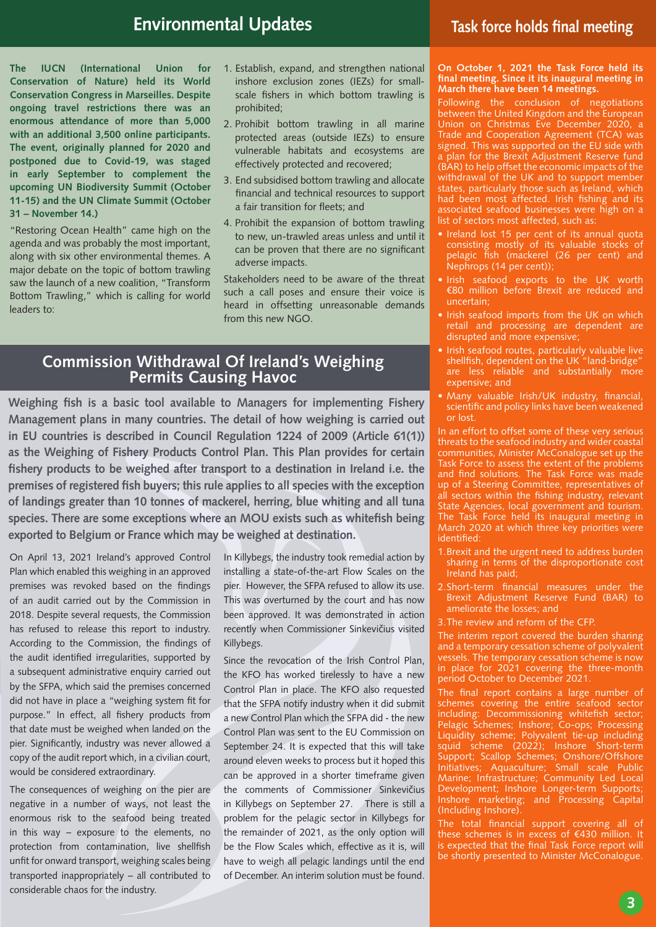### **Environmental Updates**

**The IUCN (International Union for Conservation of Nature) held its World Conservation Congress in Marseilles. Despite ongoing travel restrictions there was an enormous attendance of more than 5,000 with an additional 3,500 online participants. The event, originally planned for 2020 and postponed due to Covid-19, was staged in early September to complement the upcoming UN Biodiversity Summit (October 11-15) and the UN Climate Summit (October 31 – November 14.)** 

"Restoring Ocean Health" came high on the agenda and was probably the most important, along with six other environmental themes. A major debate on the topic of bottom trawling saw the launch of a new coalition, "Transform Bottom Trawling," which is calling for world leaders to:

- 1. Establish, expand, and strengthen national inshore exclusion zones (IEZs) for smallscale fishers in which bottom trawling is prohibited;
- 2. Prohibit bottom trawling in all marine protected areas (outside IEZs) to ensure vulnerable habitats and ecosystems are effectively protected and recovered;
- 3. End subsidised bottom trawling and allocate financial and technical resources to support a fair transition for fleets; and
- 4. Prohibit the expansion of bottom trawling to new, un-trawled areas unless and until it can be proven that there are no significant adverse impacts.

Stakeholders need to be aware of the threat such a call poses and ensure their voice is heard in offsetting unreasonable demands from this new NGO.

# **Commission Withdrawal Of Ireland's Weighing Permits Causing Havoc**

**Weighing fish is a basic tool available to Managers for implementing Fishery Management plans in many countries. The detail of how weighing is carried out in EU countries is described in Council Regulation 1224 of 2009 (Article 61(1)) as the Weighing of Fishery Products Control Plan. This Plan provides for certain fishery products to be weighed after transport to a destination in Ireland i.e. the premises of registered fish buyers; this rule applies to all species with the exception of landings greater than 10 tonnes of mackerel, herring, blue whiting and all tuna species. There are some exceptions where an MOU exists such as whitefish being exported to Belgium or France which may be weighed at destination.** 

On April 13, 2021 Ireland's approved Control Plan which enabled this weighing in an approved premises was revoked based on the findings of an audit carried out by the Commission in 2018. Despite several requests, the Commission has refused to release this report to industry. According to the Commission, the findings of the audit identified irregularities, supported by a subsequent administrative enquiry carried out by the SFPA, which said the premises concerned did not have in place a "weighing system fit for purpose." In effect, all fishery products from that date must be weighed when landed on the pier. Significantly, industry was never allowed a copy of the audit report which, in a civilian court, would be considered extraordinary.

The consequences of weighing on the pier are negative in a number of ways, not least the enormous risk to the seafood being treated in this way – exposure to the elements, no protection from contamination, live shellfish unfit for onward transport, weighing scales being transported inappropriately – all contributed to considerable chaos for the industry.

In Killybegs, the industry took remedial action by installing a state-of-the-art Flow Scales on the pier. However, the SFPA refused to allow its use. This was overturned by the court and has now been approved. It was demonstrated in action recently when Commissioner Sinkevičius visited Killybegs.

Since the revocation of the Irish Control Plan, the KFO has worked tirelessly to have a new Control Plan in place. The KFO also requested that the SFPA notify industry when it did submit a new Control Plan which the SFPA did - the new Control Plan was sent to the EU Commission on September 24. It is expected that this will take around eleven weeks to process but it hoped this can be approved in a shorter timeframe given the comments of Commissioner Sinkevičius in Killybegs on September 27. There is still a problem for the pelagic sector in Killybegs for the remainder of 2021, as the only option will be the Flow Scales which, effective as it is, will have to weigh all pelagic landings until the end of December. An interim solution must be found.

#### **Task force holds final meeting**

**On October 1, 2021 the Task Force held its final meeting. Since it its inaugural meeting in March there have been 14 meetings.** 

Following the conclusion of negotiations between the United Kingdom and the European Union on Christmas Eve December 2020, a Trade and Cooperation Agreement (TCA) was signed. This was supported on the EU side with a plan for the Brexit Adjustment Reserve fund (BAR) to help offset the economic impacts of the withdrawal of the UK and to support member states, particularly those such as Ireland, which had been most affected. Irish fishing and its associated seafood businesses were high on a list of sectors most affected, such as:

- Ireland lost 15 per cent of its annual quota consisting mostly of its valuable stocks of pelagic fish (mackerel (26 per cent) and Nephrops (14 per cent));
- Irish seafood exports to the UK worth €80 million before Brexit are reduced and uncertain;
- Irish seafood imports from the UK on which retail and processing are dependent are disrupted and more expensive;
- Irish seafood routes, particularly valuable live shellfish, dependent on the UK "land-bridge" are less reliable and substantially more expensive; and
- Many valuable Irish/UK industry, financial, scientific and policy links have been weakened or lost.

In an effort to offset some of these very serious threats to the seafood industry and wider coastal communities, Minister McConalogue set up the Task Force to assess the extent of the problems and find solutions. The Task Force was made up of a Steering Committee, representatives of all sectors within the fishing industry, relevant State Agencies, local government and tourism. The Task Force held its inaugural meeting in March 2020 at which three key priorities were identified:

- 1. Brexit and the urgent need to address burden sharing in terms of the disproportionate cost Ireland has paid;
- 2. Short-term financial measures under the Brexit Adjustment Reserve Fund (BAR) to ameliorate the losses; and
- 3.The review and reform of the CFP.

The interim report covered the burden sharing and a temporary cessation scheme of polyvalent vessels. The temporary cessation scheme is now in place for 2021 covering the three-month period October to December 2021.

.<br>The final report contains a large number of schemes covering the entire seafood sector including: Decommissioning whitefish sector; Pelagic Schemes; Inshore; Co-ops; Processing Liquidity scheme; Polyvalent tie-up including squid scheme (2022); Inshore Short-term Support; Scallop Schemes; Onshore/Offshore Initiatives; Aquaculture; Small scale Public Marine; Infrastructure; Community Led Local Development; Inshore Longer-term Supports; Inshore marketing; and Processing Capital (Including Inshore).

The total financial support covering all of these schemes is in excess of €430 million. It is expected that the final Task Force report will be shortly presented to Minister McConalogue.